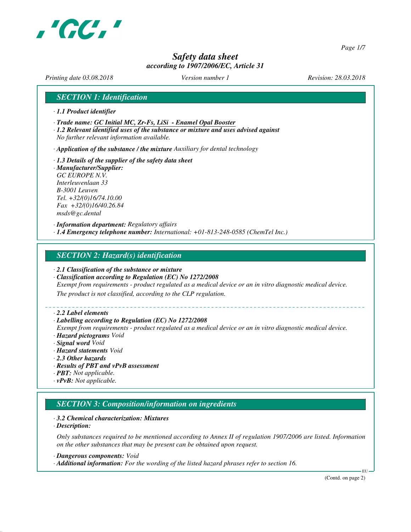

*Page 1/7*

## *Safety data sheet according to 1907/2006/EC, Article 31*

*Printing date 03.08.2018 Version number 1 Revision: 28.03.2018*

#### *SECTION 1: Identification*

- *· 1.1 Product identifier*
- *· Trade name: GC Initial MC, Zr-Fs, LiSi Enamel Opal Booster*
- *· 1.2 Relevant identified uses of the substance or mixture and uses advised against No further relevant information available.*

*· Application of the substance / the mixture Auxiliary for dental technology*

*· 1.3 Details of the supplier of the safety data sheet · Manufacturer/Supplier: GC EUROPE N.V. Interleuvenlaan 33 B-3001 Leuven Tel. +32/(0)16/74.10.00 Fax +32/(0)16/40.26.84 msds@gc.dental*

*· Information department: Regulatory affairs · 1.4 Emergency telephone number: International: +01-813-248-0585 (ChemTel Inc.)*

#### *SECTION 2: Hazard(s) identification*

- *· 2.1 Classification of the substance or mixture*
- *· Classification according to Regulation (EC) No 1272/2008*

*Exempt from requirements - product regulated as a medical device or an in vitro diagnostic medical device.*

*The product is not classified, according to the CLP regulation.*

#### *· 2.2 Label elements*

#### *· Labelling according to Regulation (EC) No 1272/2008*

*Exempt from requirements - product regulated as a medical device or an in vitro diagnostic medical device. · Hazard pictograms Void*

- *· Signal word Void*
- *· Hazard statements Void*
- *· 2.3 Other hazards*
- *· Results of PBT and vPvB assessment*
- *· PBT: Not applicable.*
- *· vPvB: Not applicable.*

#### *SECTION 3: Composition/information on ingredients*

#### *· 3.2 Chemical characterization: Mixtures*

*· Description:*

*Only substances required to be mentioned according to Annex II of regulation 1907/2006 are listed. Information on the other substances that may be present can be obtained upon request.*

*· Dangerous components: Void*

*· Additional information: For the wording of the listed hazard phrases refer to section 16.*

(Contd. on page 2)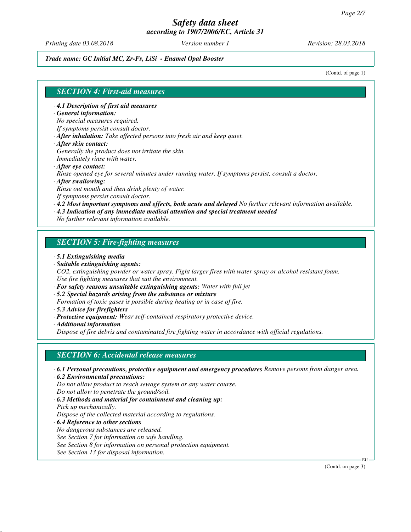*Printing date 03.08.2018 Version number 1 Revision: 28.03.2018*

*Trade name: GC Initial MC, Zr-Fs, LiSi - Enamel Opal Booster*

(Contd. of page 1)

## *SECTION 4: First-aid measures*

*· 4.1 Description of first aid measures*

#### *· General information:*

*No special measures required.*

- *If symptoms persist consult doctor.*
- *· After inhalation: Take affected persons into fresh air and keep quiet.*
- *· After skin contact:*
- *Generally the product does not irritate the skin. Immediately rinse with water.*
- *· After eye contact:*

*Rinse opened eye for several minutes under running water. If symptoms persist, consult a doctor.*

*· After swallowing:*

*Rinse out mouth and then drink plenty of water. If symptoms persist consult doctor.*

*· 4.2 Most important symptoms and effects, both acute and delayed No further relevant information available.*

*· 4.3 Indication of any immediate medical attention and special treatment needed*

*No further relevant information available.*

## *SECTION 5: Fire-fighting measures*

- *· 5.1 Extinguishing media*
- *· Suitable extinguishing agents:*

*CO2, extinguishing powder or water spray. Fight larger fires with water spray or alcohol resistant foam. Use fire fighting measures that suit the environment.*

- *· For safety reasons unsuitable extinguishing agents: Water with full jet*
- *· 5.2 Special hazards arising from the substance or mixture*

*Formation of toxic gases is possible during heating or in case of fire.*

- *· 5.3 Advice for firefighters*
- *· Protective equipment: Wear self-contained respiratory protective device.*

*· Additional information*

*Dispose of fire debris and contaminated fire fighting water in accordance with official regulations.*

## *SECTION 6: Accidental release measures*

- *· 6.1 Personal precautions, protective equipment and emergency procedures Remove persons from danger area.*
- *· 6.2 Environmental precautions: Do not allow product to reach sewage system or any water course.*

*Do not allow to penetrate the ground/soil.*

*· 6.3 Methods and material for containment and cleaning up:*

*Pick up mechanically.*

*Dispose of the collected material according to regulations.*

*· 6.4 Reference to other sections*

*No dangerous substances are released.*

*See Section 7 for information on safe handling.*

*See Section 8 for information on personal protection equipment.*

*See Section 13 for disposal information.*

(Contd. on page 3)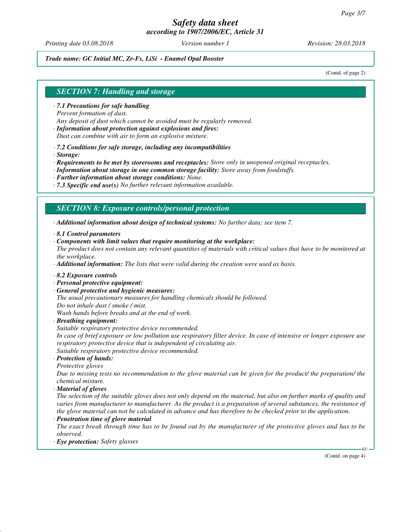*Printing date 03.08.2018 Version number 1 Revision: 28.03.2018*

*Trade name: GC Initial MC, Zr-Fs, LiSi - Enamel Opal Booster*

(Contd. of page 2)

## *SECTION 7: Handling and storage*

- *· 7.1 Precautions for safe handling*
- *Prevent formation of dust.*
- *Any deposit of dust which cannot be avoided must be regularly removed.*
- *· Information about protection against explosions and fires:*
- *Dust can combine with air to form an explosive mixture.*
- *· 7.2 Conditions for safe storage, including any incompatibilities*
- *· Storage:*
- *· Requirements to be met by storerooms and receptacles: Store only in unopened original receptacles.*
- *· Information about storage in one common storage facility: Store away from foodstuffs.*
- *· Further information about storage conditions: None.*
- *· 7.3 Specific end use(s) No further relevant information available.*

#### *SECTION 8: Exposure controls/personal protection*

*· Additional information about design of technical systems: No further data; see item 7.*

- *· 8.1 Control parameters*
- *· Components with limit values that require monitoring at the workplace:*
- *The product does not contain any relevant quantities of materials with critical values that have to be monitored at the workplace.*
- *· Additional information: The lists that were valid during the creation were used as basis.*
- *· 8.2 Exposure controls*
- *· Personal protective equipment:*
- *· General protective and hygienic measures:*

*The usual precautionary measures for handling chemicals should be followed.*

*Do not inhale dust / smoke / mist.*

*Wash hands before breaks and at the end of work.*

*· Breathing equipment:*

*Suitable respiratory protective device recommended.*

*In case of brief exposure or low pollution use respiratory filter device. In case of intensive or longer exposure use respiratory protective device that is independent of circulating air.*

*Suitable respiratory protective device recommended.*

- *· Protection of hands:*
- *Protective gloves*

*Due to missing tests no recommendation to the glove material can be given for the product/ the preparation/ the chemical mixture.*

*· Material of gloves*

*The selection of the suitable gloves does not only depend on the material, but also on further marks of quality and varies from manufacturer to manufacturer. As the product is a preparation of several substances, the resistance of the glove material can not be calculated in advance and has therefore to be checked prior to the application.*

*· Penetration time of glove material*

*The exact break through time has to be found out by the manufacturer of the protective gloves and has to be observed.*

*· Eye protection: Safety glasses*

(Contd. on page 4)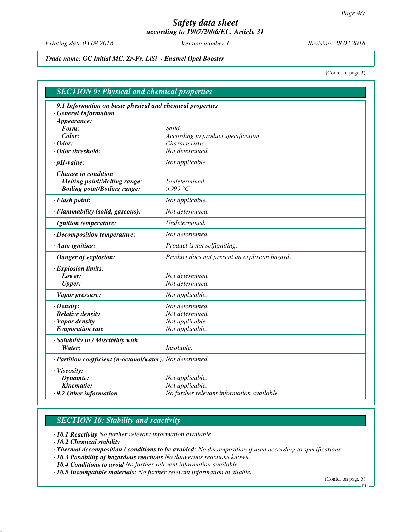*Printing date 03.08.2018 Version number 1 Revision: 28.03.2018*

*Trade name: GC Initial MC, Zr-Fs, LiSi - Enamel Opal Booster*

(Contd. of page 3)

| <b>SECTION 9: Physical and chemical properties</b>          |                                               |  |
|-------------------------------------------------------------|-----------------------------------------------|--|
| · 9.1 Information on basic physical and chemical properties |                                               |  |
| <b>General Information</b>                                  |                                               |  |
| $\cdot$ Appearance:                                         |                                               |  |
| Form:                                                       | Solid                                         |  |
| Color:                                                      | According to product specification            |  |
| $\cdot$ Odor:                                               | Characteristic<br>Not determined.             |  |
| $\cdot$ Odor threshold:                                     |                                               |  |
| $\cdot$ pH-value:                                           | Not applicable.                               |  |
| Change in condition                                         |                                               |  |
| <b>Melting point/Melting range:</b>                         | Undetermined.                                 |  |
| <b>Boiling point/Boiling range:</b>                         | >999 °C                                       |  |
| · Flash point:                                              | Not applicable.                               |  |
| · Flammability (solid, gaseous):                            | Not determined.                               |  |
| · Ignition temperature:                                     | Undetermined.                                 |  |
| · Decomposition temperature:                                | Not determined.                               |  |
| · Auto igniting:                                            | Product is not selfigniting.                  |  |
| · Danger of explosion:                                      | Product does not present an explosion hazard. |  |
| · Explosion limits:                                         |                                               |  |
| Lower:                                                      | Not determined.                               |  |
| <b>Upper:</b>                                               | Not determined.                               |  |
| · Vapor pressure:                                           | Not applicable.                               |  |
| $\cdot$ Density:                                            | Not determined.                               |  |
| · Relative density                                          | Not determined.                               |  |
| · Vapor density                                             | Not applicable.                               |  |
| $\cdot$ Evaporation rate                                    | Not applicable.                               |  |
| · Solubility in / Miscibility with                          |                                               |  |
| Water:                                                      | <i>Insoluble.</i>                             |  |
| · Partition coefficient (n-octanol/water): Not determined.  |                                               |  |
| · Viscosity:                                                |                                               |  |
| Dynamic:                                                    | Not applicable.                               |  |
| Kinematic:                                                  | Not applicable.                               |  |
| · 9.2 Other information                                     | No further relevant information available.    |  |

## *SECTION 10: Stability and reactivity*

*· 10.1 Reactivity No further relevant information available.*

*· 10.2 Chemical stability*

*· Thermal decomposition / conditions to be avoided: No decomposition if used according to specifications.*

*· 10.3 Possibility of hazardous reactions No dangerous reactions known.*

*· 10.4 Conditions to avoid No further relevant information available.*

*· 10.5 Incompatible materials: No further relevant information available.*

(Contd. on page 5)

EU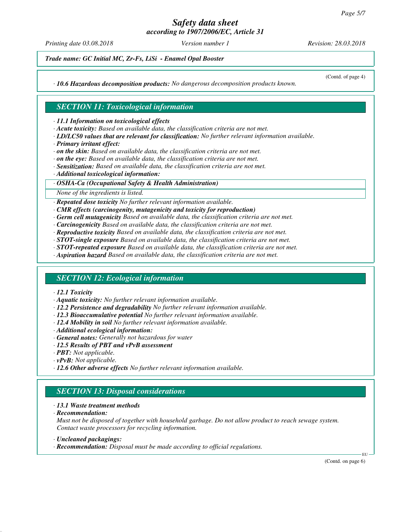*Printing date 03.08.2018 Version number 1 Revision: 28.03.2018*

(Contd. of page 4)

*Trade name: GC Initial MC, Zr-Fs, LiSi - Enamel Opal Booster*

*· 10.6 Hazardous decomposition products: No dangerous decomposition products known.*

## *SECTION 11: Toxicological information*

*· 11.1 Information on toxicological effects*

- *· Acute toxicity: Based on available data, the classification criteria are not met.*
- *· LD/LC50 values that are relevant for classification: No further relevant information available.*
- *· Primary irritant effect:*
- *· on the skin: Based on available data, the classification criteria are not met.*
- *· on the eye: Based on available data, the classification criteria are not met.*
- *· Sensitization: Based on available data, the classification criteria are not met.*
- *· Additional toxicological information:*

#### *· OSHA-Ca (Occupational Safety & Health Administration)*

*None of the ingredients is listed.*

*· Repeated dose toxicity No further relevant information available.*

*· CMR effects (carcinogenity, mutagenicity and toxicity for reproduction)*

- *· Germ cell mutagenicity Based on available data, the classification criteria are not met.*
- *· Carcinogenicity Based on available data, the classification criteria are not met.*
- *· Reproductive toxicity Based on available data, the classification criteria are not met.*
- *· STOT-single exposure Based on available data, the classification criteria are not met.*
- *· STOT-repeated exposure Based on available data, the classification criteria are not met.*

*· Aspiration hazard Based on available data, the classification criteria are not met.*

#### *SECTION 12: Ecological information*

#### *· 12.1 Toxicity*

- *· Aquatic toxicity: No further relevant information available.*
- *· 12.2 Persistence and degradability No further relevant information available.*
- *· 12.3 Bioaccumulative potential No further relevant information available.*
- *· 12.4 Mobility in soil No further relevant information available.*
- *· Additional ecological information:*
- *· General notes: Generally not hazardous for water*
- *· 12.5 Results of PBT and vPvB assessment*
- *· PBT: Not applicable.*
- *· vPvB: Not applicable.*
- *· 12.6 Other adverse effects No further relevant information available.*

## *SECTION 13: Disposal considerations*

#### *· 13.1 Waste treatment methods*

*· Recommendation:*

*Must not be disposed of together with household garbage. Do not allow product to reach sewage system. Contact waste processors for recycling information.*

- *· Uncleaned packagings:*
- *· Recommendation: Disposal must be made according to official regulations.*

(Contd. on page 6)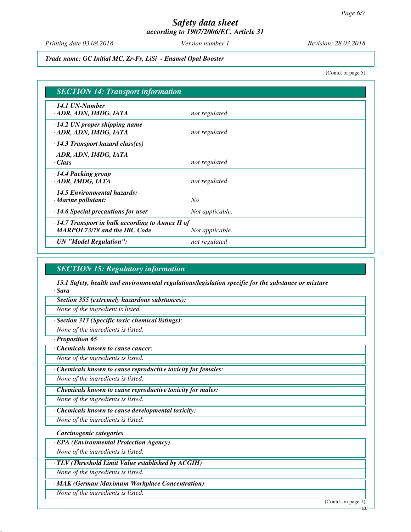*Printing date 03.08.2018 Version number 1 Revision: 28.03.2018*

*Trade name: GC Initial MC, Zr-Fs, LiSi - Enamel Opal Booster*

(Contd. of page 5)

| <b>SECTION 14: Transport information</b>                                                       |                 |  |
|------------------------------------------------------------------------------------------------|-----------------|--|
| $\cdot$ 14.1 UN-Number<br>· ADR, ADN, IMDG, IATA                                               | not regulated   |  |
| $\cdot$ 14.2 UN proper shipping name<br>ADR, ADN, IMDG, IATA                                   | not regulated   |  |
| $\cdot$ 14.3 Transport hazard class(es)                                                        |                 |  |
| · ADR, ADN, IMDG, IATA<br>· Class                                                              | not regulated   |  |
| $\cdot$ 14.4 Packing group<br>· ADR, IMDG, IATA                                                | not regulated   |  |
| 14.5 Environmental hazards:<br>$\cdot$ Marine pollutant:                                       | No              |  |
| $\cdot$ 14.6 Special precautions for user                                                      | Not applicable. |  |
| $\cdot$ 14.7 Transport in bulk according to Annex II of<br><b>MARPOL73/78 and the IBC Code</b> | Not applicable. |  |
| · UN "Model Regulation":                                                                       | not regulated   |  |

#### *SECTION 15: Regulatory information*

*· 15.1 Safety, health and environmental regulations/legislation specific for the substance or mixture · Sara*

*· Section 355 (extremely hazardous substances):*

*None of the ingredient is listed.*

*· Section 313 (Specific toxic chemical listings):*

*None of the ingredients is listed.*

*· Proposition 65*

*· Chemicals known to cause cancer:*

*None of the ingredients is listed.*

*· Chemicals known to cause reproductive toxicity for females:*

*None of the ingredients is listed.*

*· Chemicals known to cause reproductive toxicity for males:*

*None of the ingredients is listed.*

*· Chemicals known to cause developmental toxicity:*

*None of the ingredients is listed.*

*· Carcinogenic categories*

*· EPA (Environmental Protection Agency)*

*None of the ingredients is listed.*

*· TLV (Threshold Limit Value established by ACGIH)*

*None of the ingredients is listed.*

*· MAK (German Maximum Workplace Concentration)*

*None of the ingredients is listed.*

(Contd. on page 7)